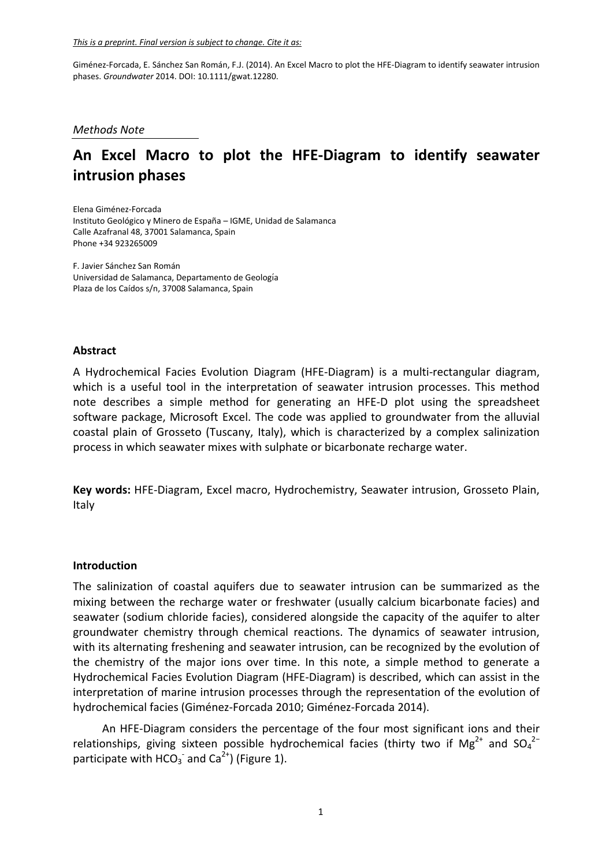*Methods Note*

# **An Excel Macro to plot the HFE‐Diagram to identify seawater intrusion phases**

Elena Giménez‐Forcada Instituto Geológico y Minero de España – IGME, Unidad de Salamanca Calle Azafranal 48, 37001 Salamanca, Spain Phone +34 923265009

F. Javier Sánchez San Román Universidad de Salamanca, Departamento de Geología Plaza de los Caídos s/n, 37008 Salamanca, Spain

# **Abstract**

A Hydrochemical Facies Evolution Diagram (HFE‐Diagram) is a multi‐rectangular diagram, which is a useful tool in the interpretation of seawater intrusion processes. This method note describes a simple method for generating an HFE‐D plot using the spreadsheet software package, Microsoft Excel. The code was applied to groundwater from the alluvial coastal plain of Grosseto (Tuscany, Italy), which is characterized by a complex salinization process in which seawater mixes with sulphate or bicarbonate recharge water.

**Key words:** HFE‐Diagram, Excel macro, Hydrochemistry, Seawater intrusion, Grosseto Plain, Italy

### **Introduction**

The salinization of coastal aquifers due to seawater intrusion can be summarized as the mixing between the recharge water or freshwater (usually calcium bicarbonate facies) and seawater (sodium chloride facies), considered alongside the capacity of the aquifer to alter groundwater chemistry through chemical reactions. The dynamics of seawater intrusion, with its alternating freshening and seawater intrusion, can be recognized by the evolution of the chemistry of the major ions over time. In this note, a simple method to generate a Hydrochemical Facies Evolution Diagram (HFE‐Diagram) is described, which can assist in the interpretation of marine intrusion processes through the representation of the evolution of hydrochemical facies (Giménez‐Forcada 2010; Giménez‐Forcada 2014).

An HFE‐Diagram considers the percentage of the four most significant ions and their relationships, giving sixteen possible hydrochemical facies (thirty two if Mg<sup>2+</sup> and SO<sub>4</sub><sup>2-</sup> participate with HCO<sub>3</sub> and Ca<sup>2+</sup>) (Figure 1).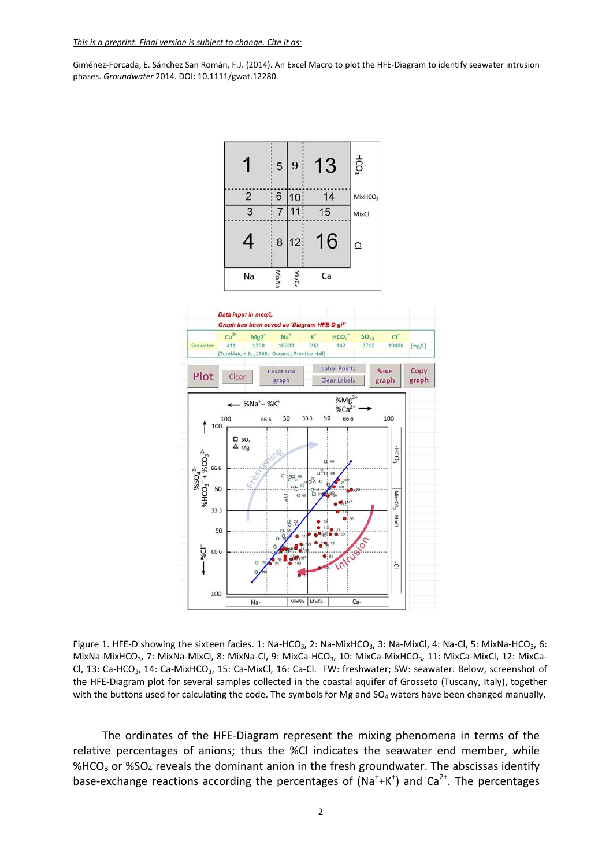

 $(mg/L)$ 

Copy

graph



Figure 1. HFE-D showing the sixteen facies. 1: Na-HCO<sub>3</sub>, 2: Na-MixHCO<sub>3</sub>, 3: Na-MixCl, 4: Na-Cl, 5: MixNa-HCO<sub>3</sub>, 6: MixNa-MixHCO<sub>3</sub>, 7: MixNa-MixCl, 8: MixNa-Cl, 9: MixCa-HCO<sub>3</sub>, 10: MixCa-MixHCO<sub>3</sub>, 11: MixCa-MixCl, 12: MixCa-Cl, 13: Ca-HCO<sub>3</sub>, 14: Ca-MixHCO<sub>3</sub>, 15: Ca-MixCl, 16: Ca-Cl. FW: freshwater; SW: seawater. Below, screenshot of the HFE‐Diagram plot for several samples collected in the coastal aquifer of Grosseto (Tuscany, Italy), together with the buttons used for calculating the code. The symbols for Mg and  $SO_4$  waters have been changed manually.

The ordinates of the HFE‐Diagram represent the mixing phenomena in terms of the relative percentages of anions; thus the %Cl indicates the seawater end member, while %HCO<sub>3</sub> or %SO<sub>4</sub> reveals the dominant anion in the fresh groundwater. The abscissas identify base-exchange reactions according the percentages of  $(Na^++K^+)$  and  $Ca^{2+}$ . The percentages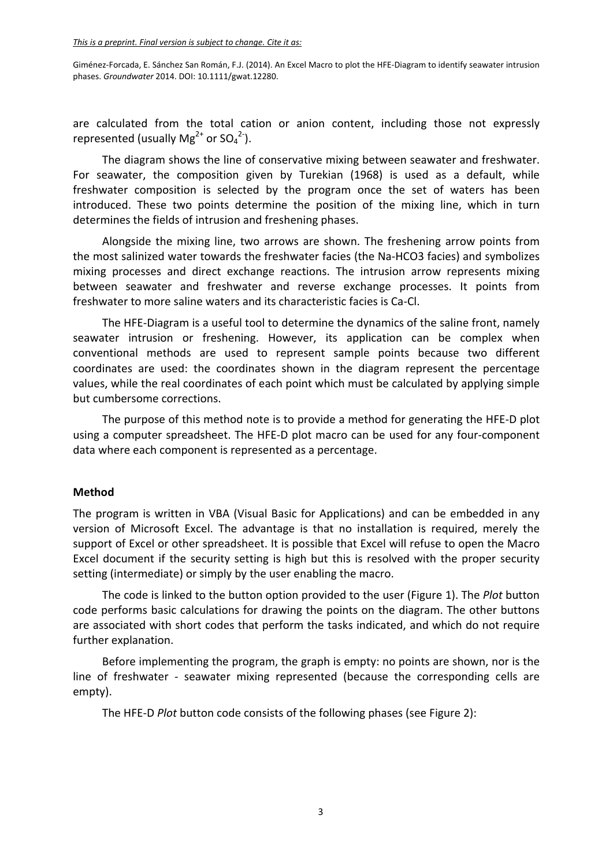are calculated from the total cation or anion content, including those not expressly represented (usually Mg<sup>2+</sup> or SO<sub>4</sub><sup>2-</sup>).

The diagram shows the line of conservative mixing between seawater and freshwater. For seawater, the composition given by Turekian (1968) is used as a default, while freshwater composition is selected by the program once the set of waters has been introduced. These two points determine the position of the mixing line, which in turn determines the fields of intrusion and freshening phases.

Alongside the mixing line, two arrows are shown. The freshening arrow points from the most salinized water towards the freshwater facies (the Na‐HCO3 facies) and symbolizes mixing processes and direct exchange reactions. The intrusion arrow represents mixing between seawater and freshwater and reverse exchange processes. It points from freshwater to more saline waters and its characteristic facies is Ca‐Cl.

The HFE‐Diagram is a useful tool to determine the dynamics of the saline front, namely seawater intrusion or freshening. However, its application can be complex when conventional methods are used to represent sample points because two different coordinates are used: the coordinates shown in the diagram represent the percentage values, while the real coordinates of each point which must be calculated by applying simple but cumbersome corrections.

The purpose of this method note is to provide a method for generating the HFE‐D plot using a computer spreadsheet. The HFE‐D plot macro can be used for any four‐component data where each component is represented as a percentage.

# **Method**

The program is written in VBA (Visual Basic for Applications) and can be embedded in any version of Microsoft Excel. The advantage is that no installation is required, merely the support of Excel or other spreadsheet. It is possible that Excel will refuse to open the Macro Excel document if the security setting is high but this is resolved with the proper security setting (intermediate) or simply by the user enabling the macro.

The code is linked to the button option provided to the user (Figure 1). The *Plot* button code performs basic calculations for drawing the points on the diagram. The other buttons are associated with short codes that perform the tasks indicated, and which do not require further explanation.

Before implementing the program, the graph is empty: no points are shown, nor is the line of freshwater - seawater mixing represented (because the corresponding cells are empty).

The HFE‐D *Plot* button code consists of the following phases (see Figure 2):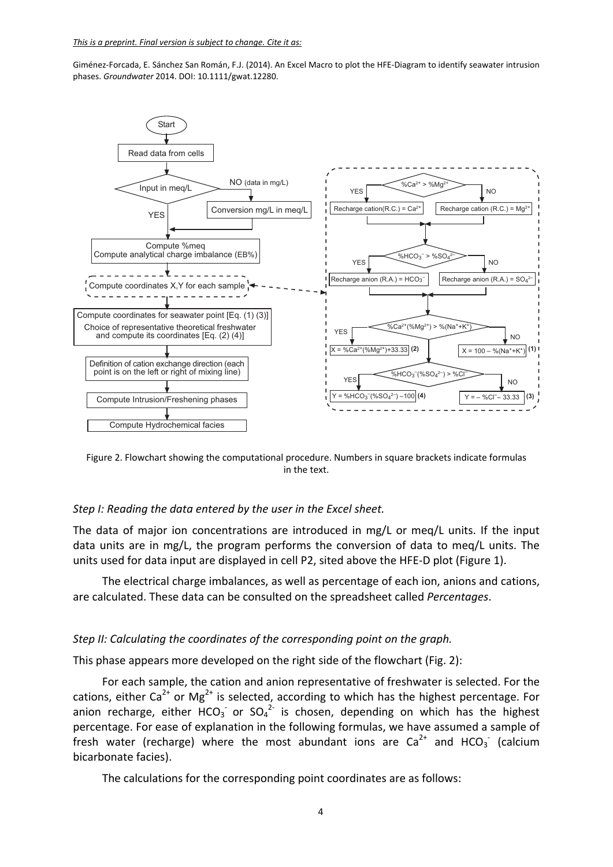

Figure 2. Flowchart showing the computational procedure. Numbers in square brackets indicate formulas in the text.

#### *Step I: Reading the data entered by the user in the Excel sheet.*

The data of major ion concentrations are introduced in mg/L or meq/L units. If the input data units are in mg/L, the program performs the conversion of data to meq/L units. The units used for data input are displayed in cell P2, sited above the HFE‐D plot (Figure 1).

The electrical charge imbalances, as well as percentage of each ion, anions and cations, are calculated. These data can be consulted on the spreadsheet called *Percentages*.

### *Step II: Calculating the coordinates of the corresponding point on the graph.*

This phase appears more developed on the right side of the flowchart (Fig. 2):

For each sample, the cation and anion representative of freshwater is selected. For the cations, either  $Ca^{2+}$  or Mg<sup>2+</sup> is selected, according to which has the highest percentage. For anion recharge, either HCO<sub>3</sub> or SO<sub>4</sub><sup>2</sup> is chosen, depending on which has the highest percentage. For ease of explanation in the following formulas, we have assumed a sample of fresh water (recharge) where the most abundant ions are  $Ca^{2+}$  and HCO<sub>3</sub> (calcium bicarbonate facies).

The calculations for the corresponding point coordinates are as follows: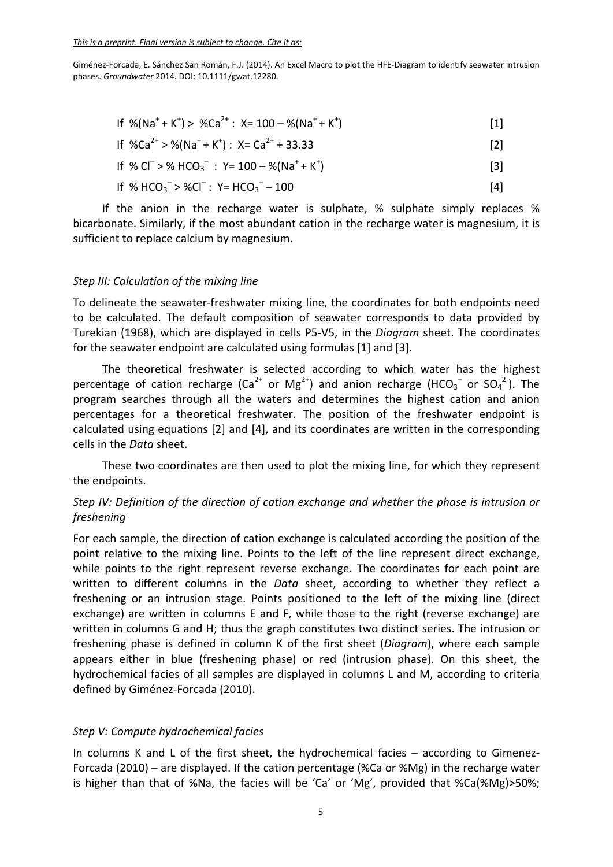If 
$$
\%(Na^+ + K^+) > \%Ca^{2+}: X = 100 - \% (Na^+ + K^+)
$$
 [1]

$$
If \% Ca^{2+} > %(Na^{+} + K^{+}): X = Ca^{2+} + 33.33
$$
 [2]

If % Cl– > % HCO3 – : Y= 100 – %(Na<sup>+</sup> + K+ ) [3]

If % HCO3 – > %Cl– : Y= HCO3 – – 100 [4]

If the anion in the recharge water is sulphate, % sulphate simply replaces % bicarbonate. Similarly, if the most abundant cation in the recharge water is magnesium, it is sufficient to replace calcium by magnesium.

# *Step III: Calculation of the mixing line*

To delineate the seawater‐freshwater mixing line, the coordinates for both endpoints need to be calculated. The default composition of seawater corresponds to data provided by Turekian (1968), which are displayed in cells P5‐V5, in the *Diagram* sheet. The coordinates for the seawater endpoint are calculated using formulas [1] and [3].

The theoretical freshwater is selected according to which water has the highest percentage of cation recharge (Ca<sup>2+</sup> or Mg<sup>2+</sup>) and anion recharge (HCO<sub>3</sub><sup>-</sup> or SO<sub>4</sub><sup>2-</sup>). The program searches through all the waters and determines the highest cation and anion percentages for a theoretical freshwater. The position of the freshwater endpoint is calculated using equations [2] and [4], and its coordinates are written in the corresponding cells in the *Data* sheet.

These two coordinates are then used to plot the mixing line, for which they represent the endpoints.

# *Step IV: Definition of the direction of cation exchange and whether the phase is intrusion or freshening*

For each sample, the direction of cation exchange is calculated according the position of the point relative to the mixing line. Points to the left of the line represent direct exchange, while points to the right represent reverse exchange. The coordinates for each point are written to different columns in the *Data* sheet, according to whether they reflect a freshening or an intrusion stage. Points positioned to the left of the mixing line (direct exchange) are written in columns E and F, while those to the right (reverse exchange) are written in columns G and H; thus the graph constitutes two distinct series. The intrusion or freshening phase is defined in column K of the first sheet (*Diagram*), where each sample appears either in blue (freshening phase) or red (intrusion phase). On this sheet, the hydrochemical facies of all samples are displayed in columns L and M, according to criteria defined by Giménez‐Forcada (2010).

# *Step V: Compute hydrochemical facies*

In columns K and L of the first sheet, the hydrochemical facies – according to Gimenez-Forcada (2010) – are displayed. If the cation percentage (%Ca or %Mg) in the recharge water is higher than that of %Na, the facies will be 'Ca' or 'Mg', provided that %Ca(%Mg)>50%;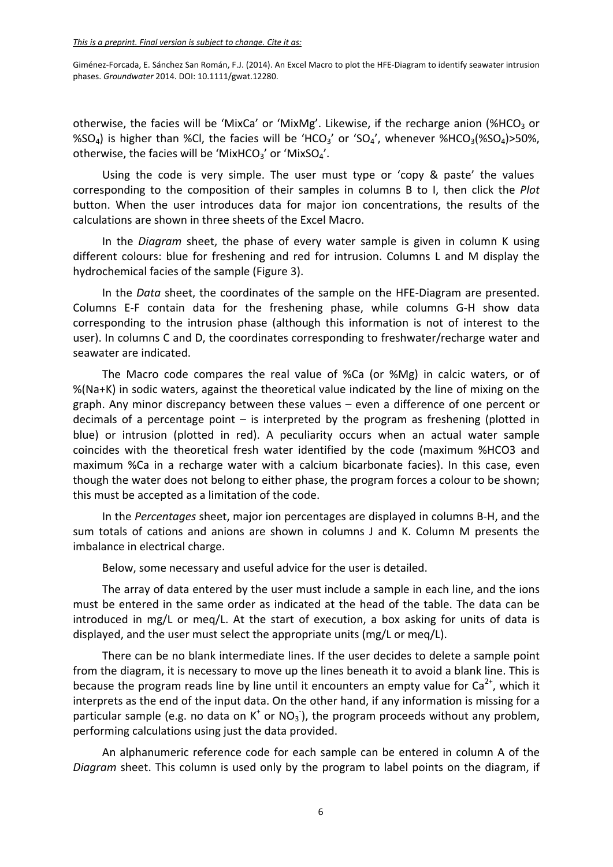otherwise, the facies will be 'MixCa' or 'MixMg'. Likewise, if the recharge anion (%HCO<sub>3</sub> or %SO<sub>4</sub>) is higher than %Cl, the facies will be 'HCO<sub>3</sub>' or 'SO<sub>4</sub>', whenever %HCO<sub>3</sub>(%SO<sub>4</sub>)>50%, otherwise, the facies will be 'MixHCO<sub>3</sub>' or 'MixSO<sub>4</sub>'.

Using the code is very simple. The user must type or 'copy & paste' the values corresponding to the composition of their samples in columns B to I, then click the *Plot* button. When the user introduces data for major ion concentrations, the results of the calculations are shown in three sheets of the Excel Macro.

In the *Diagram* sheet, the phase of every water sample is given in column K using different colours: blue for freshening and red for intrusion. Columns L and M display the hydrochemical facies of the sample (Figure 3).

In the *Data* sheet, the coordinates of the sample on the HFE‐Diagram are presented. Columns E‐F contain data for the freshening phase, while columns G‐H show data corresponding to the intrusion phase (although this information is not of interest to the user). In columns C and D, the coordinates corresponding to freshwater/recharge water and seawater are indicated.

The Macro code compares the real value of %Ca (or %Mg) in calcic waters, or of %(Na+K) in sodic waters, against the theoretical value indicated by the line of mixing on the graph. Any minor discrepancy between these values – even a difference of one percent or decimals of a percentage point  $-$  is interpreted by the program as freshening (plotted in blue) or intrusion (plotted in red). A peculiarity occurs when an actual water sample coincides with the theoretical fresh water identified by the code (maximum %HCO3 and maximum %Ca in a recharge water with a calcium bicarbonate facies). In this case, even though the water does not belong to either phase, the program forces a colour to be shown; this must be accepted as a limitation of the code.

In the *Percentages* sheet, major ion percentages are displayed in columns B‐H, and the sum totals of cations and anions are shown in columns J and K. Column M presents the imbalance in electrical charge.

Below, some necessary and useful advice for the user is detailed.

The array of data entered by the user must include a sample in each line, and the ions must be entered in the same order as indicated at the head of the table. The data can be introduced in mg/L or meq/L. At the start of execution, a box asking for units of data is displayed, and the user must select the appropriate units (mg/L or meq/L).

There can be no blank intermediate lines. If the user decides to delete a sample point from the diagram, it is necessary to move up the lines beneath it to avoid a blank line. This is because the program reads line by line until it encounters an empty value for  $Ca^{2+}$ , which it interprets as the end of the input data. On the other hand, if any information is missing for a particular sample (e.g. no data on  $K^+$  or NO<sub>3</sub><sup>-</sup>), the program proceeds without any problem, performing calculations using just the data provided.

An alphanumeric reference code for each sample can be entered in column A of the *Diagram* sheet. This column is used only by the program to label points on the diagram, if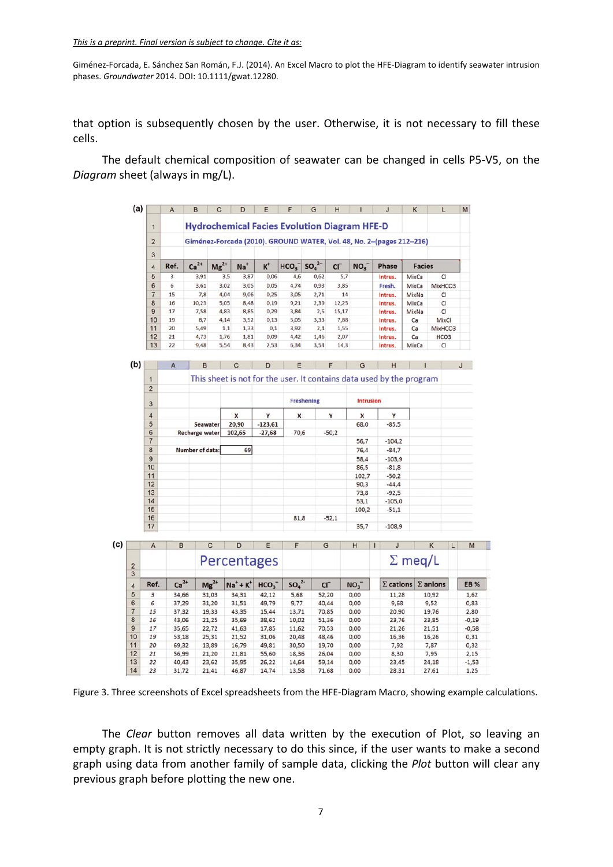that option is subsequently chosen by the user. Otherwise, it is not necessary to fill these cells.

The default chemical composition of seawater can be changed in cells P5‐V5, on the *Diagram* sheet (always in mg/L).

|                | A    | B                                                                    | C         | D         | Е                     | F                | G                             | н               |                 | J       | K             |                  |  |  |
|----------------|------|----------------------------------------------------------------------|-----------|-----------|-----------------------|------------------|-------------------------------|-----------------|-----------------|---------|---------------|------------------|--|--|
|                |      | <b>Hydrochemical Facies Evolution Diagram HFE-D</b>                  |           |           |                       |                  |                               |                 |                 |         |               |                  |  |  |
| $\overline{2}$ |      | Giménez-Forcada (2010). GROUND WATER, Vol. 48, No. 2-(pages 212-216) |           |           |                       |                  |                               |                 |                 |         |               |                  |  |  |
| 3              |      |                                                                      |           |           |                       |                  |                               |                 |                 |         |               |                  |  |  |
| 4              | Ref. | $Ca2+$                                                               | $Mg^{2+}$ | <b>Na</b> | $\kappa$ <sup>+</sup> | HCO <sub>3</sub> | SO <sub>4</sub> <sup>2–</sup> | CI <sub>1</sub> | NO <sub>3</sub> | Phase   | <b>Facies</b> |                  |  |  |
| 5              | 3    | 3,91                                                                 | 3,5       | 3,87      | 0,06                  | 4,6              | 0,62                          | 5,7             |                 | Intrus. | MixCa         | CI               |  |  |
| 6              | 6    | 3,61                                                                 | 3,02      | 3,05      | 0.05                  | 4,74             | 0.93                          | 3,85            |                 | Fresh.  | MixCa         | MixHCO3          |  |  |
| $\overline{7}$ | 15   | 7,8                                                                  | 4,04      | 9,06      | 0,25                  | 3,05             | 2,71                          | 14              |                 | Intrus. | MixNa         | CI               |  |  |
| 8              | 16   | 10,23                                                                | 5,05      | 8,48      | 0,19                  | 9,21             | 2,39                          | 12,25           |                 | Intrus. | MixCa         | CI               |  |  |
| $\overline{9}$ | 17   | 7,58                                                                 | 4,83      | 8,85      | 0,29                  | 3,84             | 2,5                           | 15,17           |                 | Intrus. | MixNa         | CI               |  |  |
| 10             | 19   | 8,7                                                                  | 4,14      | 3,52      | 0,13                  | 5,05             | 3,33                          | 7,88            |                 | Intrus. | Ca            | MixCl            |  |  |
| 11             | 20   | 5,49                                                                 | 1,1       | 1,33      | 0,1                   | 3,92             | 2,4                           | 1,55            |                 | Intrus. | Ca            | MixHCO3          |  |  |
| 12             | 21   | 4,73                                                                 | 1,76      | 1,81      | 0,09                  | 4,42             | 1,46                          | 2,07            |                 | Intrus. | Ca            | HCO <sub>3</sub> |  |  |
| 13             | 22   | 9,48                                                                 | 5,54      | 8,43      | 2,53                  | 6,34             | 3,54                          | 14,3            |                 | Intrus. | MixCa         | CI               |  |  |

| (b) |                | $\overline{A}$                                                       | B               | C      | D         | E          | F       | G                | H        |  |  |  |
|-----|----------------|----------------------------------------------------------------------|-----------------|--------|-----------|------------|---------|------------------|----------|--|--|--|
|     | 1              | This sheet is not for the user. It contains data used by the program |                 |        |           |            |         |                  |          |  |  |  |
|     | $\overline{2}$ |                                                                      |                 |        |           |            |         |                  |          |  |  |  |
|     | 3              |                                                                      |                 |        |           | Freshening |         | <b>Intrusion</b> |          |  |  |  |
|     | 4              |                                                                      |                 | x      | Y         | x          | Y       | X                | v        |  |  |  |
|     | 5              |                                                                      | Seawater        | 20,90  | $-123,61$ |            |         | 68,0             | $-85,5$  |  |  |  |
|     | 6              |                                                                      | Recharge water  | 102,65 | $-27,68$  | 70,6       | $-50,2$ |                  |          |  |  |  |
|     | $\overline{7}$ |                                                                      |                 |        |           |            |         | 56,7             | $-104,2$ |  |  |  |
|     | 8              |                                                                      | Number of data: | 69     |           |            |         | 76,4             | $-84,7$  |  |  |  |
|     | 9              |                                                                      |                 |        |           |            |         | 58,4             | $-103,9$ |  |  |  |
|     | 10             |                                                                      |                 |        |           |            |         | 86,5             | $-81,8$  |  |  |  |
|     | 11             |                                                                      |                 |        |           |            |         | 102,7            | $-50,2$  |  |  |  |
|     | 12             |                                                                      |                 |        |           |            |         | 90,3             | $-44.4$  |  |  |  |
|     | 13             |                                                                      |                 |        |           |            |         | 73,8             | $-92,5$  |  |  |  |
|     | 14             |                                                                      |                 |        |           |            |         | 53,1             | $-105,0$ |  |  |  |
|     | 15             |                                                                      |                 |        |           |            |         | 100,2            | $-51,1$  |  |  |  |
|     | 16             |                                                                      |                 |        |           | 81,8       | $-52,1$ |                  |          |  |  |  |
|     | 17             |                                                                      |                 |        |           |            |         | 35,7             | $-108,9$ |  |  |  |

|                | A    | B      | C           | D            | E                | F                            | G     | н               | J                | Κ               | L | M          |
|----------------|------|--------|-------------|--------------|------------------|------------------------------|-------|-----------------|------------------|-----------------|---|------------|
| $\overline{2}$ |      |        | Percentages |              |                  |                              |       |                 |                  | $\Sigma$ meg/L  |   |            |
| 3              |      |        |             |              |                  |                              |       |                 |                  |                 |   |            |
| 4              | Ref. | $Ca2+$ | $Mg^{2+}$   | $Na^+ + K^+$ | HCO <sub>3</sub> | SO <sub>4</sub> <sup>2</sup> | CI    | NO <sub>3</sub> | $\Sigma$ cations | $\Sigma$ anions |   | <b>EB%</b> |
| 5              | з    | 34,66  | 31,03       | 34,31        | 42,12            | 5,68                         | 52,20 | 0,00            | 11,28            | 10,92           |   | 1,62       |
| 6              | 6    | 37,29  | 31,20       | 31,51        | 49,79            | 9,77                         | 40,44 | 0,00            | 9,68             | 9,52            |   | 0,83       |
| $\overline{7}$ | 15   | 37,32  | 19,33       | 43,35        | 15,44            | 13,71                        | 70,85 | 0,00            | 20,90            | 19,76           |   | 2,80       |
| 8              | 16   | 43,06  | 21,25       | 35,69        | 38,62            | 10,02                        | 51,36 | 0,00            | 23,76            | 23,85           |   | $-0,19$    |
| 9              | 17   | 35,65  | 22,72       | 41,63        | 17,85            | 11,62                        | 70,53 | 0,00            | 21,26            | 21,51           |   | $-0,58$    |
| 10             | 19   | 53,18  | 25,31       | 21,52        | 31,06            | 20,48                        | 48,46 | 0,00            | 16,36            | 16,26           |   | 0,31       |
| 11             | 20   | 69,32  | 13,89       | 16,79        | 49,81            | 30,50                        | 19,70 | 0,00            | 7,92             | 7,87            |   | 0,32       |
| 12             | 21   | 56,99  | 21,20       | 21,81        | 55,60            | 18,36                        | 26,04 | 0,00            | 8,30             | 7,95            |   | 2,15       |
| 13             | 22   | 40,43  | 23,62       | 35,95        | 26,22            | 14,64                        | 59,14 | 0,00            | 23,45            | 24,18           |   | $-1,53$    |
| 14             | 23   | 31,72  | 21,41       | 46,87        | 14,74            | 13,58                        | 71,68 | 0,00            | 28,31            | 27,61           |   | 1,25       |

Figure 3. Three screenshots of Excel spreadsheets from the HFE‐Diagram Macro, showing example calculations.

The *Clear* button removes all data written by the execution of Plot, so leaving an empty graph. It is not strictly necessary to do this since, if the user wants to make a second graph using data from another family of sample data, clicking the *Plot* button will clear any previous graph before plotting the new one.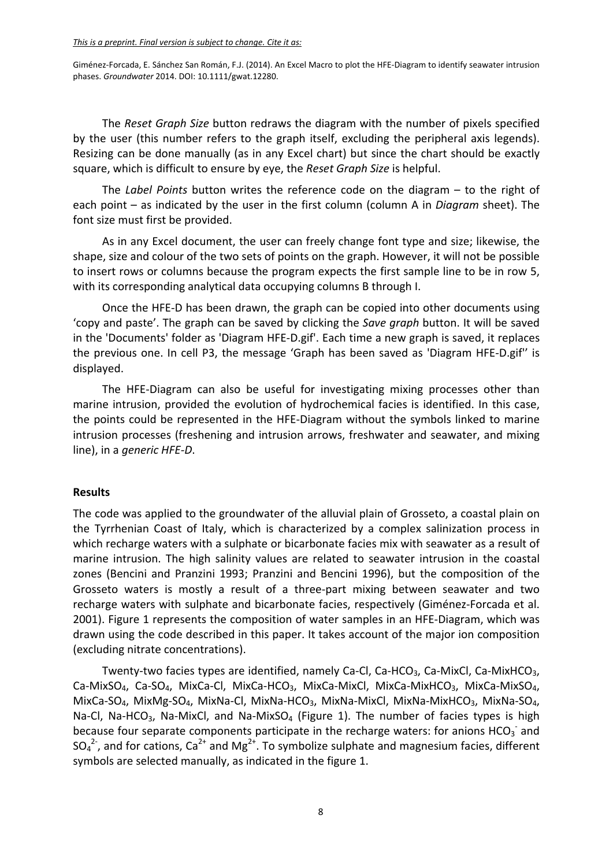The *Reset Graph Size* button redraws the diagram with the number of pixels specified by the user (this number refers to the graph itself, excluding the peripheral axis legends). Resizing can be done manually (as in any Excel chart) but since the chart should be exactly square, which is difficult to ensure by eye, the *Reset Graph Size* is helpful.

The *Label Points* button writes the reference code on the diagram – to the right of each point – as indicated by the user in the first column (column A in *Diagram* sheet). The font size must first be provided.

As in any Excel document, the user can freely change font type and size; likewise, the shape, size and colour of the two sets of points on the graph. However, it will not be possible to insert rows or columns because the program expects the first sample line to be in row 5, with its corresponding analytical data occupying columns B through I.

Once the HFE‐D has been drawn, the graph can be copied into other documents using 'copy and paste'. The graph can be saved by clicking the *Save graph* button. It will be saved in the 'Documents' folder as 'Diagram HFE‐D.gif'. Each time a new graph is saved, it replaces the previous one. In cell P3, the message 'Graph has been saved as 'Diagram HFE‐D.gif'' is displayed.

The HFE-Diagram can also be useful for investigating mixing processes other than marine intrusion, provided the evolution of hydrochemical facies is identified. In this case, the points could be represented in the HFE‐Diagram without the symbols linked to marine intrusion processes (freshening and intrusion arrows, freshwater and seawater, and mixing line), in a *generic HFE‐D*.

### **Results**

The code was applied to the groundwater of the alluvial plain of Grosseto, a coastal plain on the Tyrrhenian Coast of Italy, which is characterized by a complex salinization process in which recharge waters with a sulphate or bicarbonate facies mix with seawater as a result of marine intrusion. The high salinity values are related to seawater intrusion in the coastal zones (Bencini and Pranzini 1993; Pranzini and Bencini 1996), but the composition of the Grosseto waters is mostly a result of a three‐part mixing between seawater and two recharge waters with sulphate and bicarbonate facies, respectively (Giménez‐Forcada et al. 2001). Figure 1 represents the composition of water samples in an HFE‐Diagram, which was drawn using the code described in this paper. It takes account of the major ion composition (excluding nitrate concentrations).

Twenty-two facies types are identified, namely Ca-Cl, Ca-HCO<sub>3</sub>, Ca-MixCl, Ca-MixHCO<sub>3</sub>, Ca‐MixSO<sub>4</sub>, Ca‐SO<sub>4</sub>, MixCa‐Cl, MixCa‐HCO<sub>3</sub>, MixCa‐MixCl, MixCa‐MixHCO<sub>3</sub>, MixCa‐MixSO<sub>4</sub>, MixCa-SO<sub>4</sub>, MixMg-SO<sub>4</sub>, MixNa-Cl, MixNa-HCO<sub>3</sub>, MixNa-MixCl, MixNa-MixHCO<sub>3</sub>, MixNa-SO<sub>4</sub>, Na-Cl, Na-HCO<sub>3</sub>, Na-MixCl, and Na-MixSO<sub>4</sub> (Figure 1). The number of facies types is high because four separate components participate in the recharge waters: for anions HCO<sub>3</sub><sup>-</sup> and SO<sub>4</sub><sup>2-</sup>, and for cations, Ca<sup>2+</sup> and Mg<sup>2+</sup>. To symbolize sulphate and magnesium facies, different symbols are selected manually, as indicated in the figure 1.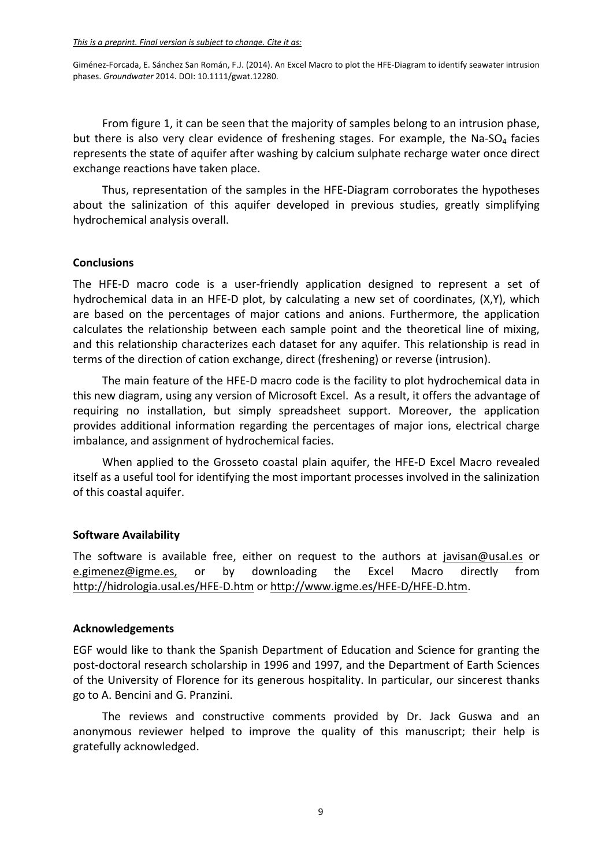From figure 1, it can be seen that the majority of samples belong to an intrusion phase, but there is also very clear evidence of freshening stages. For example, the Na-SO<sub>4</sub> facies represents the state of aquifer after washing by calcium sulphate recharge water once direct exchange reactions have taken place.

Thus, representation of the samples in the HFE‐Diagram corroborates the hypotheses about the salinization of this aquifer developed in previous studies, greatly simplifying hydrochemical analysis overall.

# **Conclusions**

The HFE-D macro code is a user-friendly application designed to represent a set of hydrochemical data in an HFE‐D plot, by calculating a new set of coordinates, (X,Y), which are based on the percentages of major cations and anions. Furthermore, the application calculates the relationship between each sample point and the theoretical line of mixing, and this relationship characterizes each dataset for any aquifer. This relationship is read in terms of the direction of cation exchange, direct (freshening) or reverse (intrusion).

The main feature of the HFE‐D macro code is the facility to plot hydrochemical data in this new diagram, using any version of Microsoft Excel. As a result, it offers the advantage of requiring no installation, but simply spreadsheet support. Moreover, the application provides additional information regarding the percentages of major ions, electrical charge imbalance, and assignment of hydrochemical facies.

When applied to the Grosseto coastal plain aquifer, the HFE‐D Excel Macro revealed itself as a useful tool for identifying the most important processes involved in the salinization of this coastal aquifer.

# **Software Availability**

The software is available free, either on request to the authors at javisan@usal.es or e.gimenez@igme.es, or by downloading the Excel Macro directly from http://hidrologia.usal.es/HFE‐D.htm or http://www.igme.es/HFE‐D/HFE‐D.htm.

### **Acknowledgements**

EGF would like to thank the Spanish Department of Education and Science for granting the post‐doctoral research scholarship in 1996 and 1997, and the Department of Earth Sciences of the University of Florence for its generous hospitality. In particular, our sincerest thanks go to A. Bencini and G. Pranzini.

The reviews and constructive comments provided by Dr. Jack Guswa and an anonymous reviewer helped to improve the quality of this manuscript; their help is gratefully acknowledged.